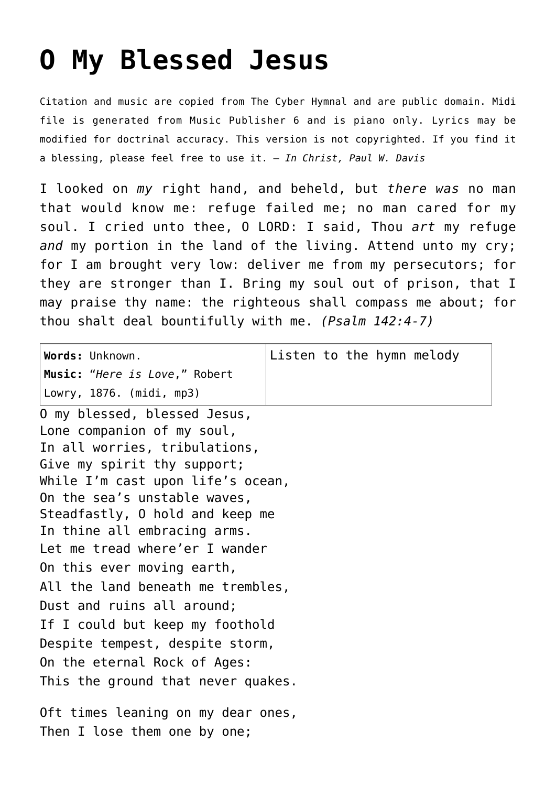## **[O My Blessed Jesus](http://reproachofmen.org/hymns-and-music/o-my-blessed-jesus/)**

Citation and music are copied from [The Cyber Hymnal](http://www.hymntime.com/tch/) and are public domain. Midi file is generated from Music Publisher 6 and is piano only. Lyrics may be modified for doctrinal accuracy. This version is not copyrighted. If you find it a blessing, please feel free to use it. — *In Christ, Paul W. Davis*

I looked on *my* right hand, and beheld, but *there was* no man that would know me: refuge failed me; no man cared for my soul. I cried unto thee, O LORD: I said, Thou *art* my refuge *and* my portion in the land of the living. Attend unto my cry; for I am brought very low: deliver me from my persecutors; for they are stronger than I. Bring my soul out of prison, that I may praise thy name: the righteous shall compass me about; for thou shalt deal bountifully with me. *(Psalm 142:4-7)*

| Words: Unknown.                    |  |  |  |  | Listen to the hymn melody |
|------------------------------------|--|--|--|--|---------------------------|
| Music: "Here is Love," Robert      |  |  |  |  |                           |
| Lowry, 1876. (midi, mp3)           |  |  |  |  |                           |
| 0 my blessed, blessed Jesus,       |  |  |  |  |                           |
| Lone companion of my soul,         |  |  |  |  |                           |
| In all worries, tribulations,      |  |  |  |  |                           |
| Give my spirit thy support;        |  |  |  |  |                           |
| While I'm cast upon life's ocean,  |  |  |  |  |                           |
| On the sea's unstable waves,       |  |  |  |  |                           |
| Steadfastly, 0 hold and keep me    |  |  |  |  |                           |
| In thine all embracing arms.       |  |  |  |  |                           |
| Let me tread where'er I wander     |  |  |  |  |                           |
| On this ever moving earth,         |  |  |  |  |                           |
| All the land beneath me trembles,  |  |  |  |  |                           |
| Dust and ruins all around;         |  |  |  |  |                           |
| If I could but keep my foothold    |  |  |  |  |                           |
| Despite tempest, despite storm,    |  |  |  |  |                           |
| On the eternal Rock of Ages:       |  |  |  |  |                           |
| This the ground that never quakes. |  |  |  |  |                           |
| Oft times leaning on my dear ones, |  |  |  |  |                           |
| Then I lose them one by one;       |  |  |  |  |                           |